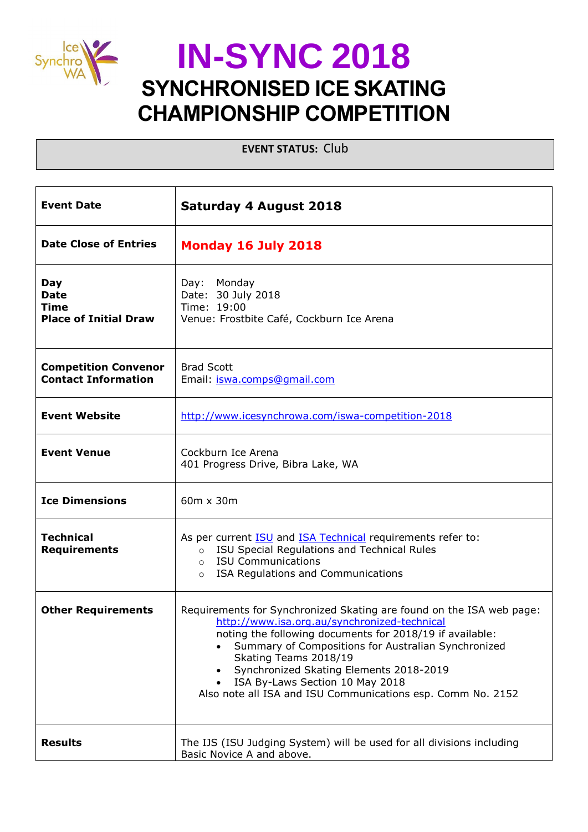

**EVENT STATUS:** Club

| <b>Event Date</b>                                          | <b>Saturday 4 August 2018</b>                                                                                                                                                                                                                                                                                                                                                                                 |  |
|------------------------------------------------------------|---------------------------------------------------------------------------------------------------------------------------------------------------------------------------------------------------------------------------------------------------------------------------------------------------------------------------------------------------------------------------------------------------------------|--|
| <b>Date Close of Entries</b>                               | Monday 16 July 2018                                                                                                                                                                                                                                                                                                                                                                                           |  |
| Day<br><b>Date</b><br>Time<br><b>Place of Initial Draw</b> | Monday<br>Day:<br>Date: 30 July 2018<br>Time: 19:00<br>Venue: Frostbite Café, Cockburn Ice Arena                                                                                                                                                                                                                                                                                                              |  |
| <b>Competition Convenor</b><br><b>Contact Information</b>  | <b>Brad Scott</b><br>Email: iswa.comps@gmail.com                                                                                                                                                                                                                                                                                                                                                              |  |
| <b>Event Website</b>                                       | http://www.icesynchrowa.com/iswa-competition-2018                                                                                                                                                                                                                                                                                                                                                             |  |
| <b>Event Venue</b>                                         | Cockburn Ice Arena<br>401 Progress Drive, Bibra Lake, WA                                                                                                                                                                                                                                                                                                                                                      |  |
| <b>Ice Dimensions</b>                                      | 60m x 30m                                                                                                                                                                                                                                                                                                                                                                                                     |  |
| <b>Technical</b><br><b>Requirements</b>                    | As per current <b>ISU</b> and <b>ISA Technical</b> requirements refer to:<br>ISU Special Regulations and Technical Rules<br>$\circ$<br><b>ISU Communications</b><br>$\circ$<br>ISA Regulations and Communications<br>$\circ$                                                                                                                                                                                  |  |
| <b>Other Requirements</b>                                  | Requirements for Synchronized Skating are found on the ISA web page:<br>http://www.isa.org.au/synchronized-technical<br>noting the following documents for 2018/19 if available:<br>Summary of Compositions for Australian Synchronized<br>Skating Teams 2018/19<br>Synchronized Skating Elements 2018-2019<br>ISA By-Laws Section 10 May 2018<br>Also note all ISA and ISU Communications esp. Comm No. 2152 |  |
| <b>Results</b>                                             | The IJS (ISU Judging System) will be used for all divisions including<br>Basic Novice A and above.                                                                                                                                                                                                                                                                                                            |  |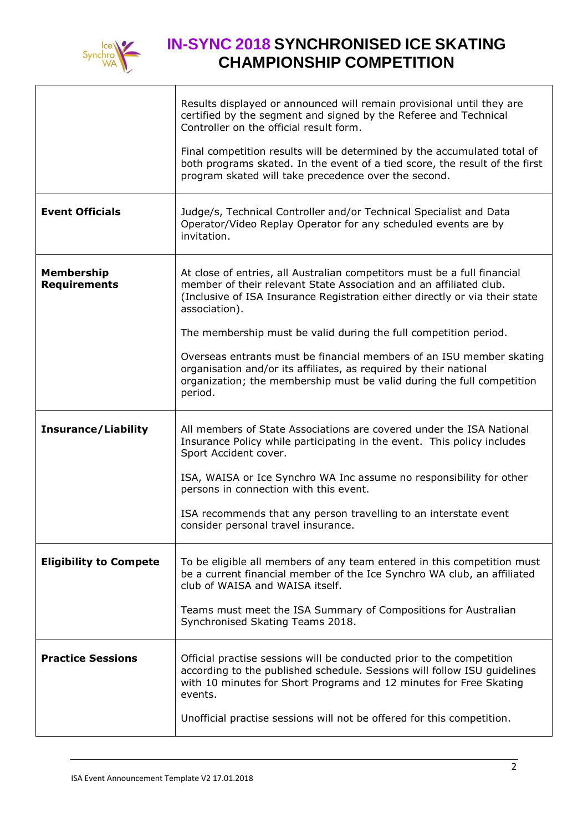

|                                          | Results displayed or announced will remain provisional until they are<br>certified by the segment and signed by the Referee and Technical<br>Controller on the official result form.                                                           |
|------------------------------------------|------------------------------------------------------------------------------------------------------------------------------------------------------------------------------------------------------------------------------------------------|
|                                          | Final competition results will be determined by the accumulated total of<br>both programs skated. In the event of a tied score, the result of the first<br>program skated will take precedence over the second.                                |
| <b>Event Officials</b>                   | Judge/s, Technical Controller and/or Technical Specialist and Data<br>Operator/Video Replay Operator for any scheduled events are by<br>invitation.                                                                                            |
| <b>Membership</b><br><b>Requirements</b> | At close of entries, all Australian competitors must be a full financial<br>member of their relevant State Association and an affiliated club.<br>(Inclusive of ISA Insurance Registration either directly or via their state<br>association). |
|                                          | The membership must be valid during the full competition period.                                                                                                                                                                               |
|                                          | Overseas entrants must be financial members of an ISU member skating<br>organisation and/or its affiliates, as required by their national<br>organization; the membership must be valid during the full competition<br>period.                 |
| <b>Insurance/Liability</b>               | All members of State Associations are covered under the ISA National<br>Insurance Policy while participating in the event. This policy includes<br>Sport Accident cover.                                                                       |
|                                          | ISA, WAISA or Ice Synchro WA Inc assume no responsibility for other<br>persons in connection with this event.                                                                                                                                  |
|                                          | ISA recommends that any person travelling to an interstate event<br>consider personal travel insurance.                                                                                                                                        |
| <b>Eligibility to Compete</b>            | To be eligible all members of any team entered in this competition must<br>be a current financial member of the Ice Synchro WA club, an affiliated<br>club of WAISA and WAISA itself.                                                          |
|                                          | Teams must meet the ISA Summary of Compositions for Australian<br>Synchronised Skating Teams 2018.                                                                                                                                             |
| <b>Practice Sessions</b>                 | Official practise sessions will be conducted prior to the competition<br>according to the published schedule. Sessions will follow ISU guidelines<br>with 10 minutes for Short Programs and 12 minutes for Free Skating<br>events.             |
|                                          | Unofficial practise sessions will not be offered for this competition.                                                                                                                                                                         |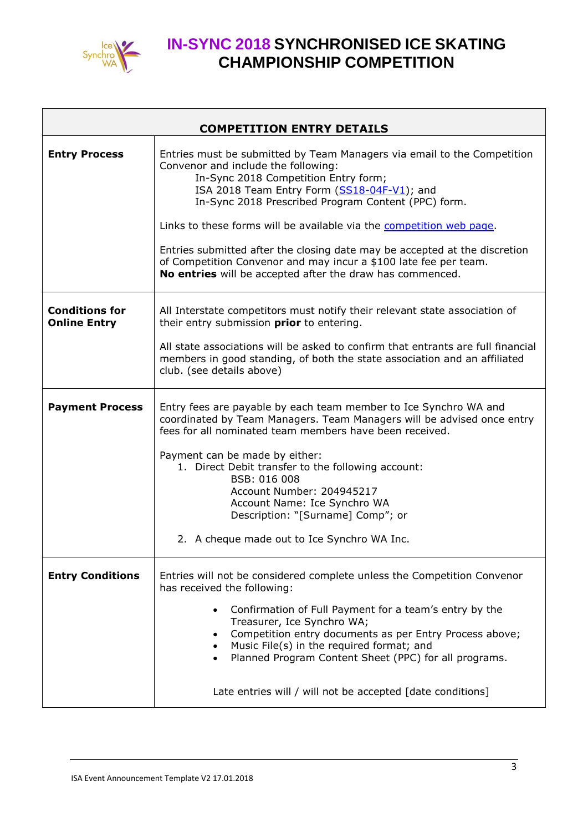

| <b>COMPETITION ENTRY DETAILS</b>             |                                                                                                                                                                                                                                                                                                                                                                                                                                                                                                                                                     |  |
|----------------------------------------------|-----------------------------------------------------------------------------------------------------------------------------------------------------------------------------------------------------------------------------------------------------------------------------------------------------------------------------------------------------------------------------------------------------------------------------------------------------------------------------------------------------------------------------------------------------|--|
| <b>Entry Process</b>                         | Entries must be submitted by Team Managers via email to the Competition<br>Convenor and include the following:<br>In-Sync 2018 Competition Entry form;<br>ISA 2018 Team Entry Form (SS18-04F-V1); and<br>In-Sync 2018 Prescribed Program Content (PPC) form.<br>Links to these forms will be available via the competition web page.<br>Entries submitted after the closing date may be accepted at the discretion<br>of Competition Convenor and may incur a \$100 late fee per team.<br>No entries will be accepted after the draw has commenced. |  |
| <b>Conditions for</b><br><b>Online Entry</b> | All Interstate competitors must notify their relevant state association of<br>their entry submission prior to entering.<br>All state associations will be asked to confirm that entrants are full financial<br>members in good standing, of both the state association and an affiliated<br>club. (see details above)                                                                                                                                                                                                                               |  |
| <b>Payment Process</b>                       | Entry fees are payable by each team member to Ice Synchro WA and<br>coordinated by Team Managers. Team Managers will be advised once entry<br>fees for all nominated team members have been received.<br>Payment can be made by either:<br>1. Direct Debit transfer to the following account:<br>BSB: 016 008<br>Account Number: 204945217<br>Account Name: Ice Synchro WA<br>Description: "[Surname] Comp"; or<br>2. A cheque made out to Ice Synchro WA Inc.                                                                                      |  |
| <b>Entry Conditions</b>                      | Entries will not be considered complete unless the Competition Convenor<br>has received the following:<br>Confirmation of Full Payment for a team's entry by the<br>$\bullet$<br>Treasurer, Ice Synchro WA;<br>Competition entry documents as per Entry Process above;<br>Music File(s) in the required format; and<br>Planned Program Content Sheet (PPC) for all programs.<br>Late entries will / will not be accepted [date conditions]                                                                                                          |  |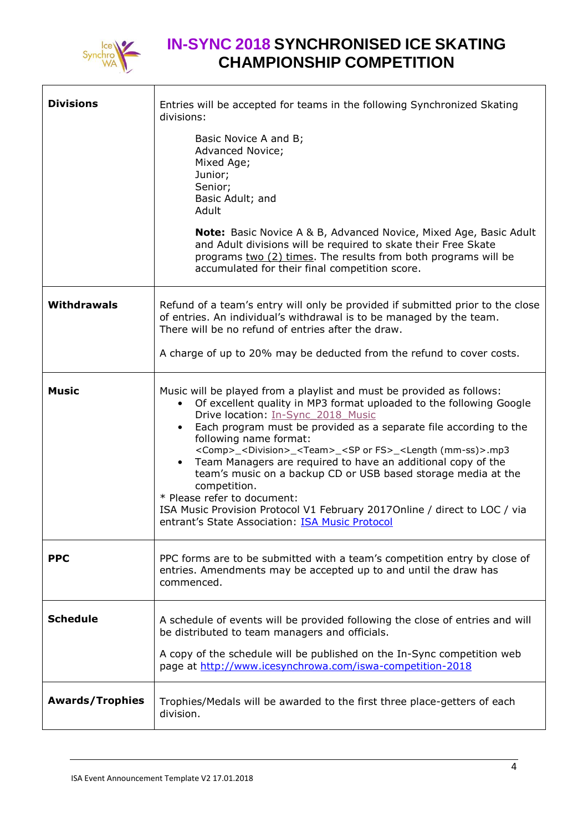

| <b>Divisions</b>       | Entries will be accepted for teams in the following Synchronized Skating<br>divisions:<br>Basic Novice A and B;<br>Advanced Novice;<br>Mixed Age;<br>Junior;<br>Senior;<br>Basic Adult; and<br>Adult<br><b>Note:</b> Basic Novice A & B, Advanced Novice, Mixed Age, Basic Adult<br>and Adult divisions will be required to skate their Free Skate<br>programs two (2) times. The results from both programs will be<br>accumulated for their final competition score.                                                                                                                                                                                                                                                      |
|------------------------|-----------------------------------------------------------------------------------------------------------------------------------------------------------------------------------------------------------------------------------------------------------------------------------------------------------------------------------------------------------------------------------------------------------------------------------------------------------------------------------------------------------------------------------------------------------------------------------------------------------------------------------------------------------------------------------------------------------------------------|
| <b>Withdrawals</b>     | Refund of a team's entry will only be provided if submitted prior to the close<br>of entries. An individual's withdrawal is to be managed by the team.<br>There will be no refund of entries after the draw.<br>A charge of up to 20% may be deducted from the refund to cover costs.                                                                                                                                                                                                                                                                                                                                                                                                                                       |
| <b>Music</b>           | Music will be played from a playlist and must be provided as follows:<br>Of excellent quality in MP3 format uploaded to the following Google<br>Drive location: In-Sync 2018 Music<br>Each program must be provided as a separate file according to the<br>following name format:<br><comp>_<division>_<team>_<sp fs="" or="">_<length (mm-ss)="">.mp3<br/>Team Managers are required to have an additional copy of the<br/>team's music on a backup CD or USB based storage media at the<br/>competition.<br/>* Please refer to document:<br/>ISA Music Provision Protocol V1 February 2017 Online / direct to LOC / via<br/>entrant's State Association: <b>ISA Music Protocol</b></length></sp></team></division></comp> |
| <b>PPC</b>             | PPC forms are to be submitted with a team's competition entry by close of<br>entries. Amendments may be accepted up to and until the draw has<br>commenced.                                                                                                                                                                                                                                                                                                                                                                                                                                                                                                                                                                 |
| <b>Schedule</b>        | A schedule of events will be provided following the close of entries and will<br>be distributed to team managers and officials.<br>A copy of the schedule will be published on the In-Sync competition web<br>page at http://www.icesynchrowa.com/iswa-competition-2018                                                                                                                                                                                                                                                                                                                                                                                                                                                     |
| <b>Awards/Trophies</b> | Trophies/Medals will be awarded to the first three place-getters of each<br>division.                                                                                                                                                                                                                                                                                                                                                                                                                                                                                                                                                                                                                                       |